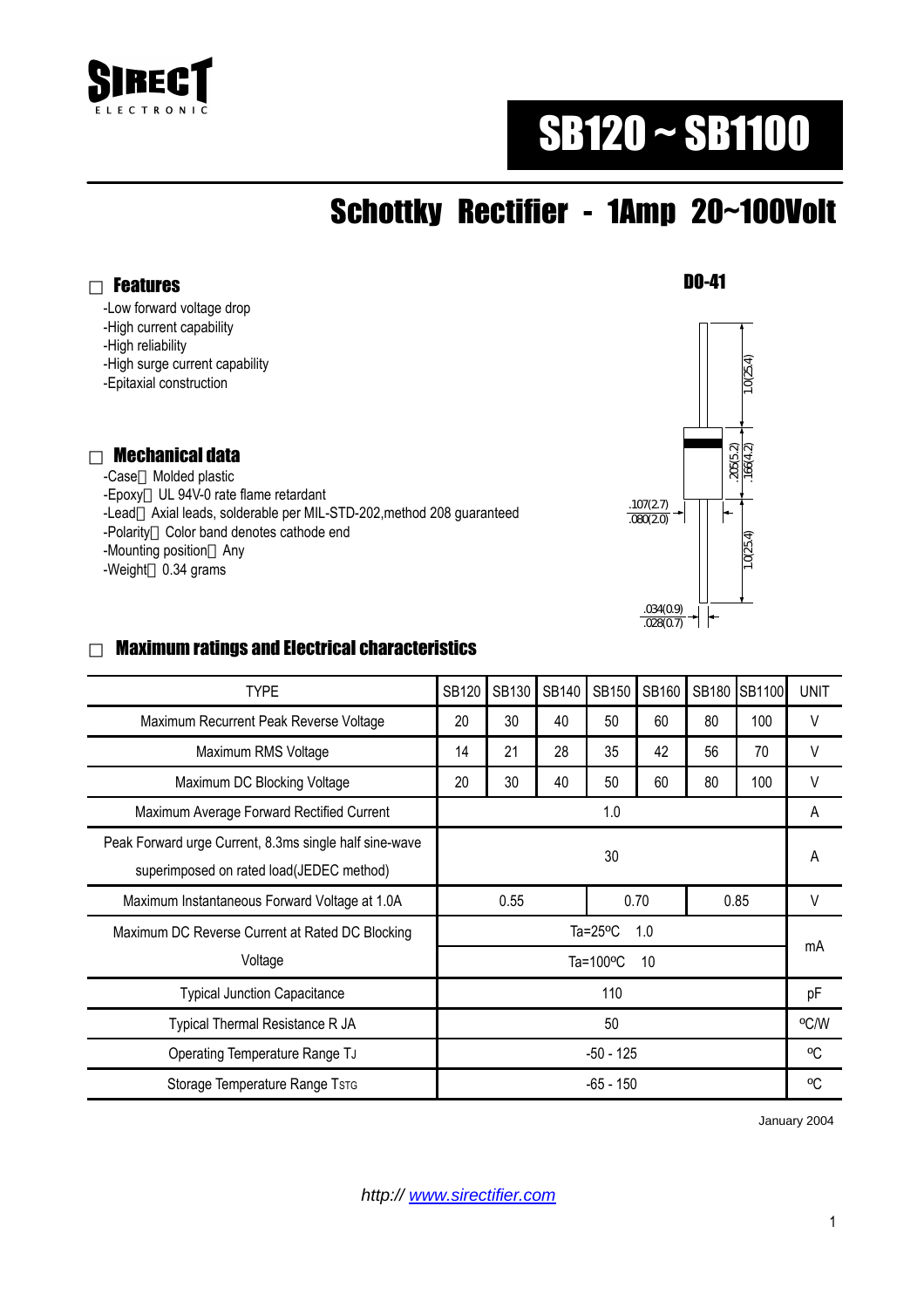

# SB120 ~ SB1100

## Schottky Rectifier - 1Amp 20~100Volt

Features

-Low forward voltage drop

-High current capability

-High reliability

-High surge current capability

-Epitaxial construction

#### Mechanical data

 -Case Molded plastic -Epoxy UL 94V-0 rate flame retardant -Lead Axial leads, solderable per MIL-STD-202,method 208 guaranteed -Polarity Color band denotes cathode end -Mounting position Any -Weight 0.34 grams



#### Maximum ratings and Electrical characteristics

| <b>TYPE</b>                                                                                        | <b>SB120</b>              | SB130 | SB140 | <b>SB150</b> | SB160 | <b>SB180</b> | <b>SB1100</b> | <b>UNIT</b> |
|----------------------------------------------------------------------------------------------------|---------------------------|-------|-------|--------------|-------|--------------|---------------|-------------|
| Maximum Recurrent Peak Reverse Voltage                                                             | 20                        | 30    | 40    | 50           | 60    | 80           | 100           | $\vee$      |
| Maximum RMS Voltage                                                                                | 14                        | 21    | 28    | 35           | 42    | 56           | 70            | V           |
| Maximum DC Blocking Voltage                                                                        | 20                        | 30    | 40    | 50           | 60    | 80           | 100           | V           |
| Maximum Average Forward Rectified Current                                                          | 1.0                       |       |       |              |       |              |               | A           |
| Peak Forward urge Current, 8.3ms single half sine-wave<br>superimposed on rated load(JEDEC method) | 30                        |       |       |              |       |              |               | A           |
| Maximum Instantaneous Forward Voltage at 1.0A                                                      | 0.55                      |       |       | 0.70         |       | 0.85         |               | V           |
| Maximum DC Reverse Current at Rated DC Blocking                                                    | Ta= $25^{\circ}$ C<br>1.0 |       |       |              |       |              |               | mA          |
| Voltage                                                                                            | Ta=100°C<br>10            |       |       |              |       |              |               |             |
| <b>Typical Junction Capacitance</b>                                                                | 110                       |       |       |              |       |              |               | pF          |
| Typical Thermal Resistance R JA                                                                    | 50                        |       |       |              |       |              |               | °C/W        |
| Operating Temperature Range TJ                                                                     | $-50 - 125$               |       |       |              |       |              |               | °C          |
| Storage Temperature Range TsTG                                                                     | -65 - 150                 |       |       |              |       |              |               | °C          |

January 2004